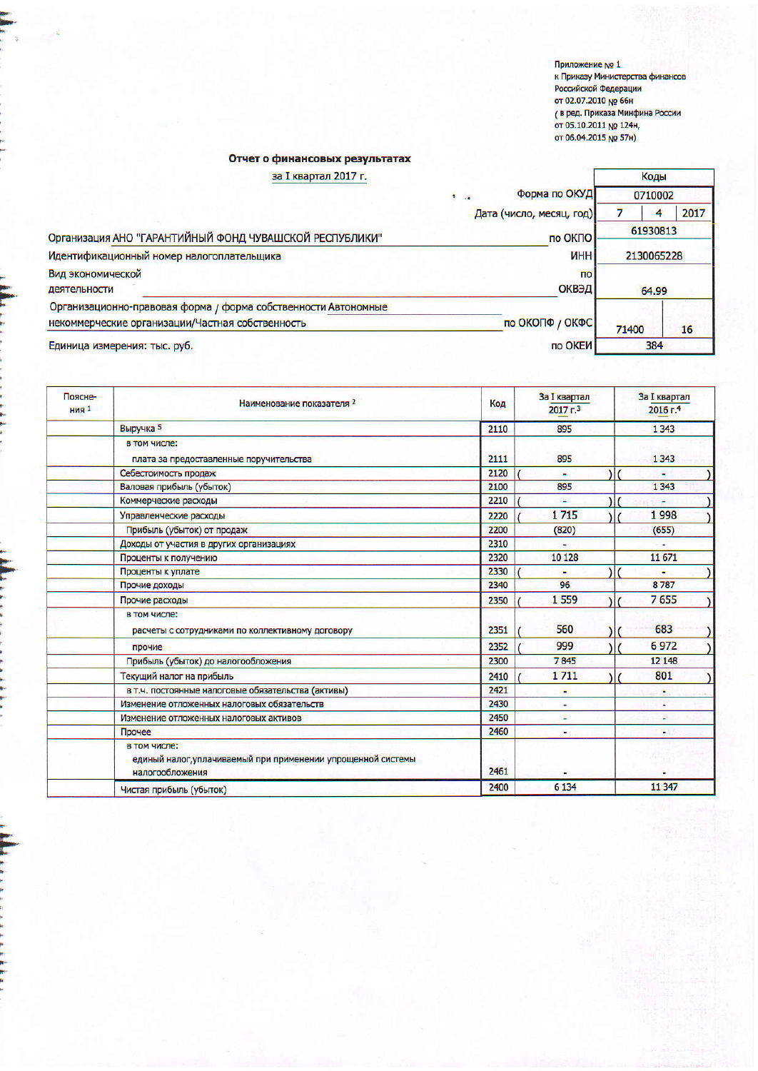Приложение № 1<br>к Приказу Министерства финансов<br>Российской Федерации<br>от 02.07.2010 № 66н<br>( в ред. Приказа Минфина России<br>от 05.10.2011 № 124н,<br>от 06.04.2015 № 57н)

## Отчет о финансовых результатах

| за I квартал 2017 г.                                           |                                 | Коды     |      |  |
|----------------------------------------------------------------|---------------------------------|----------|------|--|
|                                                                | Форма по ОКУД<br>i k            | 0710002  |      |  |
|                                                                | Дата (число, месяц, год)        | 4        | 2017 |  |
| Организация АНО "ГАРАНТИЙНЫЙ ФОНД ЧУВАШСКОЙ РЕСПУБЛИКИ"        | по ОКПО                         | 61930813 |      |  |
| Идентификационный номер налогоплательщика                      | <b><i>UHH</i></b><br>2130065228 |          |      |  |
| Вид экономической                                              | n <sub>o</sub>                  |          |      |  |
| деятельности                                                   | ОКВЭД                           | 64.99    |      |  |
| Организационно-правовая форма / форма собственности Автономные |                                 |          |      |  |
| некоммерческие организации/Частная собственность               | по ОКОПФ / ОКФС                 | 71400    | 16   |  |
| Единица измерения: тыс. руб.                                   | по ОКЕИ                         | 384      |      |  |

| Поясне-<br>HMS <sub>1</sub> | Наименование показателя 2                                                                       | Код  | <b>За I квартал</b><br>$2017 - 3$ | <b>За I квартал</b><br>2016 г.4 |
|-----------------------------|-------------------------------------------------------------------------------------------------|------|-----------------------------------|---------------------------------|
|                             | Выручка 5                                                                                       | 2110 | 895                               | 1 3 4 3                         |
|                             | в том числе:                                                                                    |      |                                   |                                 |
|                             | плата за предоставленные поручительства                                                         | 2111 | 895                               | 1 3 4 3                         |
|                             | Себестоимость продаж                                                                            | 2120 |                                   |                                 |
|                             | Валовая прибыль (убыток)                                                                        | 2100 | 895                               | 1 3 4 3                         |
|                             | Коммерческие расходы                                                                            | 2210 |                                   |                                 |
|                             | Управленческие расходы                                                                          | 2220 | 1715                              | 1998                            |
|                             | Прибыль (убыток) от продаж                                                                      | 2200 | (820)                             | (655)                           |
|                             | Доходы от участия в других организациях                                                         | 2310 |                                   | a.                              |
|                             | Проценты к получению                                                                            | 2320 | 10 128                            | 11 671                          |
|                             | Проценты к уплате                                                                               | 2330 |                                   |                                 |
|                             | Прочие доходы                                                                                   | 2340 | 96                                | 8787                            |
|                             | Прочие расходы                                                                                  | 2350 | 1559                              | 7655                            |
|                             | в том числе:<br>расчеты с сотрудниками по коллективному договору                                | 2351 | 560                               | 683                             |
|                             | прочие                                                                                          | 2352 | 999                               | 6972                            |
|                             | Прибыль (убыток) до налогообложения                                                             | 2300 | 7845                              | 12 148                          |
|                             | Текущий налог на прибыль                                                                        | 2410 | 1711                              | 801                             |
|                             | в т.ч. постоянные налоговые обязательства (активы)                                              | 2421 |                                   |                                 |
|                             | Изменение отложенных налоговых обязательств                                                     | 2430 |                                   |                                 |
|                             | Изменение отложенных налоговых активов                                                          | 2450 | ۵                                 | a.                              |
|                             | Прочее                                                                                          | 2460 |                                   |                                 |
|                             | в том числе:<br>единый налог, уплачиваемый при применении упрощенной системы<br>налогообложения | 2461 |                                   |                                 |
|                             | Чистая прибыль (убыток)                                                                         | 2400 | 6 1 3 4                           | 11 3 47                         |